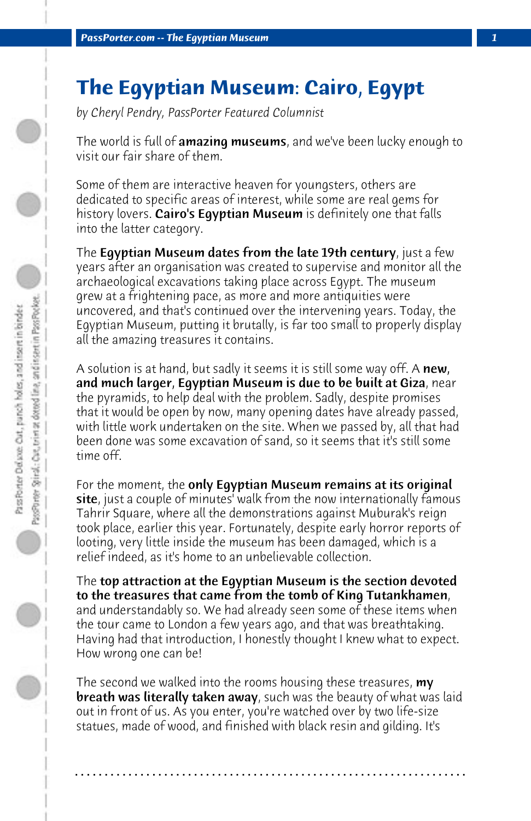## **The Egyptian Museum: Cairo, Egypt**

*by Cheryl Pendry, PassPorter Featured Columnist*

The world is full of amazing museums, and we've been lucky enough to visit our fair share of them.

Some of them are interactive heaven for youngsters, others are dedicated to specific areas of interest, while some are real gems for history lovers. Cairo's Egyptian Museum is definitely one that falls into the latter category.

The **Egyptian Museum dates from the late 19th century**, just a few years after an organisation was created to supervise and monitor all the archaeological excavations taking place across Egypt. The museum grew at a frightening pace, as more and more antiquities were uncovered, and that's continued over the intervening years. Today, the Egyptian Museum, putting it brutally, is far too small to properly display all the amazing treasures it contains.

A solution is at hand, but sadly it seems it is still some way off. A  ${\sf new}$ , and much larger, Egyptian Museum is due to be built at Giza, near the pyramids, to help deal with the problem. Sadly, despite promises that it would be open by now, many opening dates have already passed, with little work undertaken on the site. When we passed by, all that had been done was some excavation of sand, so it seems that it's still some time off.

For the moment, the only Egyptian Museum remains at its original site, just a couple of minutes' walk from the now internationally famous Tahrir Square, where all the demonstrations against Muburak's reign took place, earlier this year. Fortunately, despite early horror reports of looting, very little inside the museum has been damaged, which is a relief indeed, as it's home to an unbelievable collection.

The top attraction at the Egyptian Museum is the section devoted to the treasures that came from the tomb of King Tutankhamen, and understandably so. We had already seen some of these items when the tour came to London a few years ago, and that was breathtaking. Having had that introduction, I honestly thought I knew what to expect. How wrong one can be!

The second we walked into the rooms housing these treasures, **my** breath was literally taken away, such was the beauty of what was laid out in front of us. As you enter, you're watched over by two life-size statues, made of wood, and finished with black resin and gilding. It's

**. . . . . . . . . . . . . . . . . . . . . . . . . . . . . . . . . . . . . . . . . . . . . . . . . . . . . . . . . . . . . . . . . .**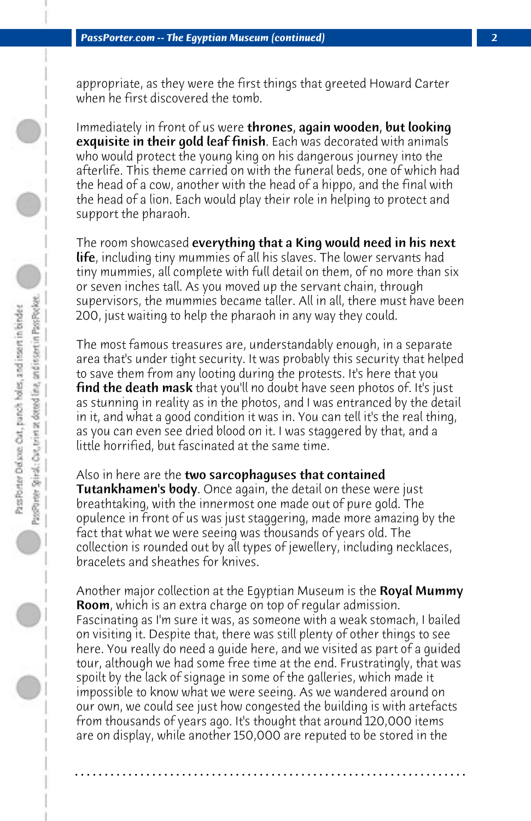appropriate, as they were the first things that greeted Howard Carter when he first discovered the tomb.

Immediately in front of us were thrones, again wooden, but looking exquisite in their gold leaf finish. Each was decorated with animals who would protect the young king on his dangerous journey into the afterlife. This theme carried on with the funeral beds, one of which had the head of a cow, another with the head of a hippo, and the final with the head of a lion. Each would play their role in helping to protect and support the pharaoh.

The room showcased everything that a King would need in his next life, including tiny mummies of all his slaves. The lower servants had tiny mummies, all complete with full detail on them, of no more than six or seven inches tall. As you moved up the servant chain, through supervisors, the mummies became taller. All in all, there must have been 200, just waiting to help the pharaoh in any way they could.

The most famous treasures are, understandably enough, in a separate area that's under tight security. It was probably this security that helped to save them from any looting during the protests. It's here that you **find the death mask** that you'll no doubt have seen photos of. It's just as stunning in reality as in the photos, and I was entranced by the detail in it, and what a good condition it was in. You can tell it's the real thing, as you can even see dried blood on it. I was staggered by that, and a little horrified, but fascinated at the same time.

Also in here are the **two sarcophaguses that contained Tutankhamen's body**. Once again, the detail on these were just breathtaking, with the innermost one made out of pure gold. The opulence in front of us was just staggering, made more amazing by the fact that what we were seeing was thousands of years old. The collection is rounded out by all types of jewellery, including necklaces, bracelets and sheathes for knives.

Another major collection at the Eqyptian Museum is the **Royal Mummy** Room, which is an extra charge on top of regular admission. Fascinating as I'm sure it was, as someone with a weak stomach, I bailed on visiting it. Despite that, there was still plenty of other things to see here. You really do need a guide here, and we visited as part of a guided tour, although we had some free time at the end. Frustratingly, that was spoilt by the lack of signage in some of the galleries, which made it impossible to know what we were seeing. As we wandered around on our own, we could see just how congested the building is with artefacts from thousands of years ago. It's thought that around 120,000 items are on display, while another 150,000 are reputed to be stored in the

**. . . . . . . . . . . . . . . . . . . . . . . . . . . . . . . . . . . . . . . . . . . . . . . . . . . . . . . . . . . . . . . . . .**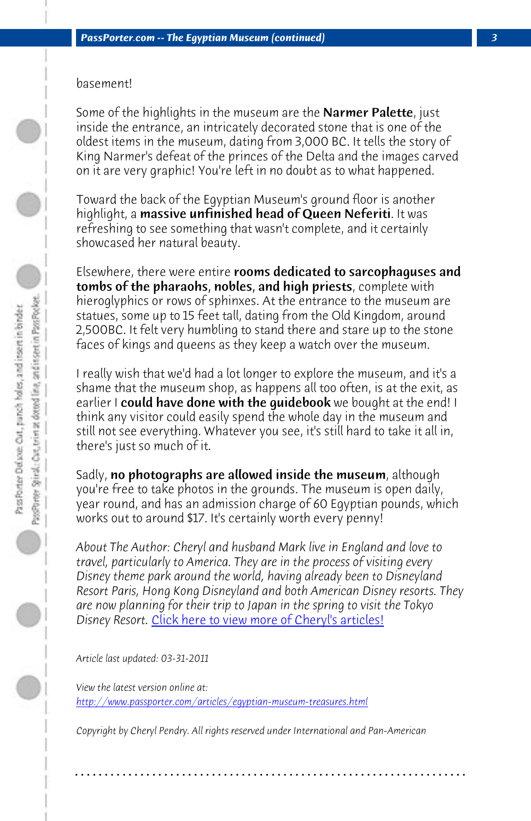## basement!

Some of the highlights in the museum are the **Narmer Palette**, just inside the entrance, an intricately decorated stone that is one of the oldest items in the museum, dating from 3,000 BC. It tells the story of King Narmer's defeat of the princes of the Delta and the images carved on it are very graphic! You're left in no doubt as to what happened.

Toward the back of the Egyptian Museum's ground floor is another highlight, a massive unfinished head of Queen Neferiti. It was refreshing to see something that wasn't complete, and it certainly showcased her natural beauty.

Elsewhere, there were entire rooms dedicated to sarcophaguses and tombs of the pharaohs, nobles, and high priests, complete with hieroglyphics or rows of sphinxes. At the entrance to the museum are statues, some up to 15 feet tall, dating from the Old Kingdom, around 2,500BC. It felt very humbling to stand there and stare up to the stone faces of kings and queens as they keep a watch over the museum.

I really wish t[hat we'd had a lot longer to explore the muse](http://www.passporter.com/articles/cheryl-pendry-featured-columnist.asp)um, and it's a shame that the museum shop, as happens all too often, is at the exit, as earlier I could have done with the quidebook we bought at the end! I think any visitor could easily spend the whole day in the museum and still not see everything. Whatever you see, it's still hard to take it all in, there's just so much of it.

Sadly, no photographs are allowed inside the museum, although you're free to take photos in the grounds. The museum is open daily, year round, and has an admission charge of 60 Egyptian pounds, which works out to around \$17. It's certainly worth every penny!

*About The Author: Cheryl and husband Mark live in England and love to travel, particularly to America. They are in the process of visiting every Disney theme park around the world, having already been to Disneyland Resort Paris, Hong Kong Disneyland and both American Disney resorts. They are now planning for their trip to Japan in the spring to visit the Tokyo Disney Resort.* Click here to view more of Cheryl's articles!

*Article last updated: 03-31-2011*

*View the latest version online at: http://www.passporter.com/articles/egyptian-museum-treasures.html*

*Copyright by Cheryl Pendry. All rights reserved under International and Pan-American*

**. . . . . . . . . . . . . . . . . . . . . . . . . . . . . . . . . . . . . . . . . . . . . . . . . . . . . . . . . . . . . . . . . .**